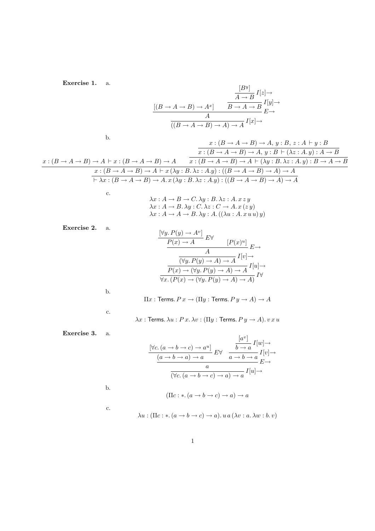Exercise 1. a.

$$
\frac{[B^y]}{[B \to A \to B) \to A^x]} \qquad \frac{\frac{[B^y]}{A \to B} I[z] \to}{B \to A \to B} I[y] \to
$$
  

$$
\frac{A}{((B \to A \to B) \to A) \to A} I[x] \to
$$

b.

c.

b.

c.

b.

c.

 $x:(B\rightarrow A\rightarrow B)\rightarrow A\vdash x:(B\rightarrow A\rightarrow B)\rightarrow A$   $\qquad$   $\overline{x:(B\rightarrow A\rightarrow B)\rightarrow A\vdash (\lambda y:B.\lambda z:A.y):B\rightarrow A\rightarrow B}$  $x:(B\rightarrow A\rightarrow B)\rightarrow A, y:B, z:A\vdash y:B$  $x:(B\rightarrow A\rightarrow B)\rightarrow A, y:B\vdash (\lambda z:A.y):A\rightarrow B$  $x : (B \to A \to B) \to A \vdash x (\lambda y : B \ldotp \lambda z : A \ldotp y) : ((B \to A \to B) \to A) \to A$  $\vdash \lambda x : (B \to A \to B) \to A. x (\lambda y : B. \lambda z : A. y) : ((B \to A \to B) \to A) \to A$ 

> $\lambda x : A \rightarrow B \rightarrow C$ .  $\lambda y : B$ .  $\lambda z : A$ .  $x z y$  $\lambda x : A \rightarrow B$ .  $\lambda y : C$ .  $\lambda z : C \rightarrow A$ .  $x (z, y)$  $\lambda x : A \rightarrow A \rightarrow B$ .  $\lambda y : A$ .  $((\lambda u : A x u u) y)$

Exercise 2. a.

$$
\frac{[\forall y. P(y) \to A^v]}{P(x) \to A} E \forall
$$
\n
$$
\frac{A}{(\forall y. P(y) \to A) \to A} I[v] \to
$$
\n
$$
\frac{P(x) \to (\forall y. P(y) \to A) \to A}{P(x) \to (\forall y. P(y) \to A) \to A} I[u] \to
$$
\n
$$
\frac{1}{\forall x. (P(x) \to (\forall y. P(y) \to A) \to A)} I \forall
$$
\n
$$
\Pi x : \text{Terms. } P x \to (\Pi y : \text{Terms. } P y \to A) \to A
$$

 $\lambda x$  : Terms.  $\lambda u$  :  $P x$ .  $\lambda v$  : ( $\Pi y$  : Terms.  $P y \to A$ ).  $v x u$ 

Exercise 3. a.

$$
\frac{[\forall c. (a \to b \to c) \to a^u]}{(a \to b \to a) \to a} E \forall \frac{[a^v]}{a \to b \to a} I[w] \to
$$

$$
\frac{(a \to b \to a) \to a}{\neg(a \to b \to c) \to a} E \to
$$

$$
\frac{a}{(\forall c. (a \to b \to c) \to a) \to a} I[u] \to
$$

$$
(\Pi c: *.(a \to b \to c) \to a) \to a
$$

$$
\lambda u: (\Pi c: *.(a \to b \to c) \to a). u a (\lambda v: a. \lambda w: b. v)
$$